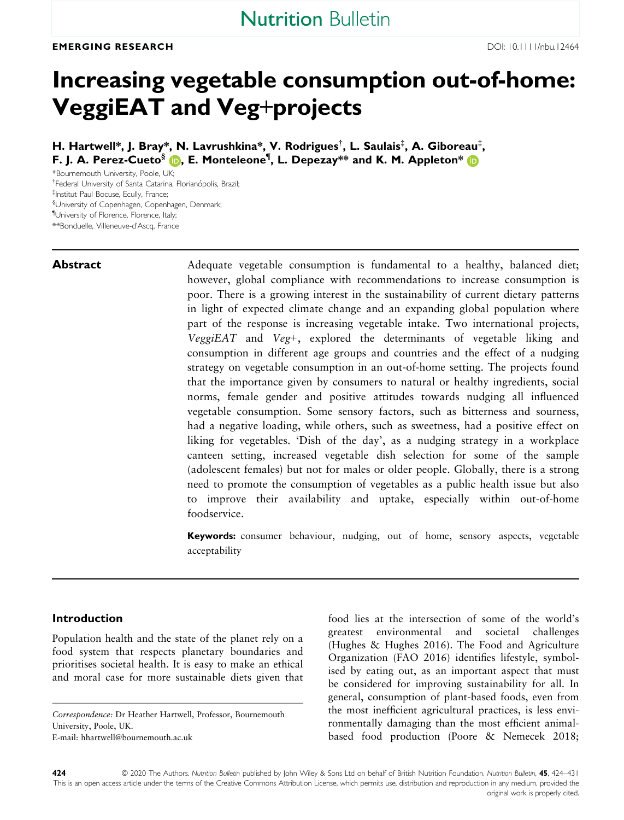# Increasing vegetable consumption out-of-home: VeggiEAT and Veg+projects

H. Hartwell\*, J. Bray\*, N. Lavrushkina\*, V. Rodrigues $^{\dagger}$ , L. Saulais $^{\ddagger}$ , A. Giboreau $^{\ddagger}$ , F. J. A. Perez-Cueto<sup>§</sup> (D, E. Monteleone<sup>¶</sup>, L. Depezay[\\*](https://orcid.org/0000-0001-7045-3564)\* and K. M. Appleton\*

\*Bournemouth University, Poole, UK; †Federal University of Santa Catarina, Florianópolis, Brazil;<br>‡Iostitut Paul Bocuso, Foully, Empex Institut Paul Bocuse, Ecully, France; § University of Copenhagen, Copenhagen, Denmark; ¶ University of Florence, Florence, Italy; \*\*Bonduelle, Villeneuve-d'Ascq, France

Abstract Adequate vegetable consumption is fundamental to a healthy, balanced diet; however, global compliance with recommendations to increase consumption is poor. There is a growing interest in the sustainability of current dietary patterns in light of expected climate change and an expanding global population where part of the response is increasing vegetable intake. Two international projects, VeggiEAT and Veg+, explored the determinants of vegetable liking and consumption in different age groups and countries and the effect of a nudging strategy on vegetable consumption in an out-of-home setting. The projects found that the importance given by consumers to natural or healthy ingredients, social norms, female gender and positive attitudes towards nudging all influenced vegetable consumption. Some sensory factors, such as bitterness and sourness, had a negative loading, while others, such as sweetness, had a positive effect on liking for vegetables. 'Dish of the day', as a nudging strategy in a workplace canteen setting, increased vegetable dish selection for some of the sample (adolescent females) but not for males or older people. Globally, there is a strong need to promote the consumption of vegetables as a public health issue but also to improve their availability and uptake, especially within out-of-home foodservice.

> Keywords: consumer behaviour, nudging, out of home, sensory aspects, vegetable acceptability

### Introduction

Population health and the state of the planet rely on a food system that respects planetary boundaries and prioritises societal health. It is easy to make an ethical and moral case for more sustainable diets given that

Correspondence: Dr Heather Hartwell, Professor, Bournemouth University, Poole, UK. E-mail: [hhartwell@bournemouth.ac.uk](mailto:)

food lies at the intersection of some of the world's greatest environmental and societal challenges (Hughes & Hughes 2016). The Food and Agriculture Organization (FAO 2016) identifies lifestyle, symbolised by eating out, as an important aspect that must be considered for improving sustainability for all. In general, consumption of plant-based foods, even from the most inefficient agricultural practices, is less environmentally damaging than the most efficient animalbased food production (Poore & Nemecek 2018;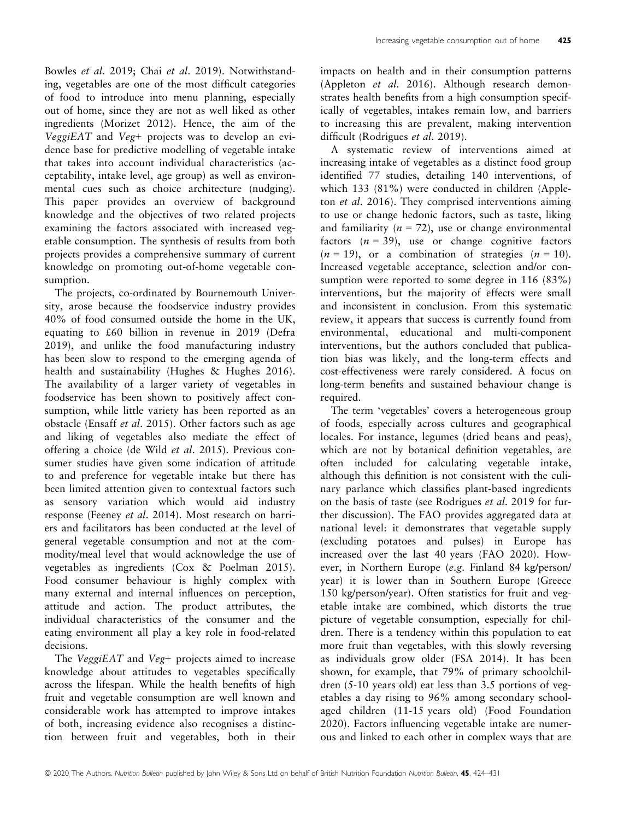Bowles et al. 2019; Chai et al. 2019). Notwithstanding, vegetables are one of the most difficult categories of food to introduce into menu planning, especially out of home, since they are not as well liked as other ingredients (Morizet 2012). Hence, the aim of the VeggiEAT and Veg+ projects was to develop an evidence base for predictive modelling of vegetable intake that takes into account individual characteristics (acceptability, intake level, age group) as well as environmental cues such as choice architecture (nudging). This paper provides an overview of background knowledge and the objectives of two related projects examining the factors associated with increased vegetable consumption. The synthesis of results from both projects provides a comprehensive summary of current knowledge on promoting out-of-home vegetable consumption.

The projects, co-ordinated by Bournemouth University, arose because the foodservice industry provides 40% of food consumed outside the home in the UK, equating to £60 billion in revenue in 2019 (Defra 2019), and unlike the food manufacturing industry has been slow to respond to the emerging agenda of health and sustainability (Hughes & Hughes 2016). The availability of a larger variety of vegetables in foodservice has been shown to positively affect consumption, while little variety has been reported as an obstacle (Ensaff et al. 2015). Other factors such as age and liking of vegetables also mediate the effect of offering a choice (de Wild et al. 2015). Previous consumer studies have given some indication of attitude to and preference for vegetable intake but there has been limited attention given to contextual factors such as sensory variation which would aid industry response (Feeney et al. 2014). Most research on barriers and facilitators has been conducted at the level of general vegetable consumption and not at the commodity/meal level that would acknowledge the use of vegetables as ingredients (Cox & Poelman 2015). Food consumer behaviour is highly complex with many external and internal influences on perception, attitude and action. The product attributes, the individual characteristics of the consumer and the eating environment all play a key role in food-related decisions.

The *VeggiEAT* and *Veg*+ projects aimed to increase knowledge about attitudes to vegetables specifically across the lifespan. While the health benefits of high fruit and vegetable consumption are well known and considerable work has attempted to improve intakes of both, increasing evidence also recognises a distinction between fruit and vegetables, both in their impacts on health and in their consumption patterns (Appleton et al. 2016). Although research demonstrates health benefits from a high consumption specifically of vegetables, intakes remain low, and barriers to increasing this are prevalent, making intervention difficult (Rodrigues et al. 2019).

A systematic review of interventions aimed at increasing intake of vegetables as a distinct food group identified 77 studies, detailing 140 interventions, of which 133 (81%) were conducted in children (Appleton et al. 2016). They comprised interventions aiming to use or change hedonic factors, such as taste, liking and familiarity ( $n = 72$ ), use or change environmental factors  $(n = 39)$ , use or change cognitive factors  $(n = 19)$ , or a combination of strategies  $(n = 10)$ . Increased vegetable acceptance, selection and/or consumption were reported to some degree in 116 (83%) interventions, but the majority of effects were small and inconsistent in conclusion. From this systematic review, it appears that success is currently found from environmental, educational and multi-component interventions, but the authors concluded that publication bias was likely, and the long-term effects and cost-effectiveness were rarely considered. A focus on long-term benefits and sustained behaviour change is required.

The term 'vegetables' covers a heterogeneous group of foods, especially across cultures and geographical locales. For instance, legumes (dried beans and peas), which are not by botanical definition vegetables, are often included for calculating vegetable intake, although this definition is not consistent with the culinary parlance which classifies plant-based ingredients on the basis of taste (see Rodrigues et al. 2019 for further discussion). The FAO provides aggregated data at national level: it demonstrates that vegetable supply (excluding potatoes and pulses) in Europe has increased over the last 40 years (FAO 2020). However, in Northern Europe (e.g. Finland 84 kg/person/ year) it is lower than in Southern Europe (Greece 150 kg/person/year). Often statistics for fruit and vegetable intake are combined, which distorts the true picture of vegetable consumption, especially for children. There is a tendency within this population to eat more fruit than vegetables, with this slowly reversing as individuals grow older (FSA 2014). It has been shown, for example, that 79% of primary schoolchildren (5-10 years old) eat less than 3.5 portions of vegetables a day rising to 96% among secondary schoolaged children (11-15 years old) (Food Foundation 2020). Factors influencing vegetable intake are numerous and linked to each other in complex ways that are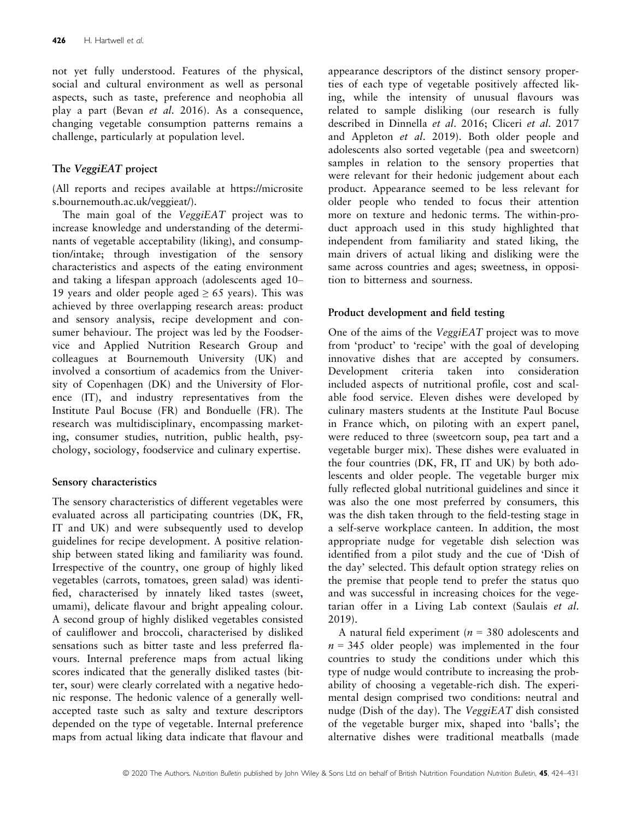not yet fully understood. Features of the physical, social and cultural environment as well as personal aspects, such as taste, preference and neophobia all play a part (Bevan et al. 2016). As a consequence, changing vegetable consumption patterns remains a challenge, particularly at population level.

# The VeggiEAT project

(All reports and recipes available at [https://microsite](https://microsites.bournemouth.ac.uk/veggieat/) [s.bournemouth.ac.uk/veggieat/\)](https://microsites.bournemouth.ac.uk/veggieat/).

The main goal of the VeggiEAT project was to increase knowledge and understanding of the determinants of vegetable acceptability (liking), and consumption/intake; through investigation of the sensory characteristics and aspects of the eating environment and taking a lifespan approach (adolescents aged 10– 19 years and older people aged  $\geq 65$  years). This was achieved by three overlapping research areas: product and sensory analysis, recipe development and consumer behaviour. The project was led by the Foodservice and Applied Nutrition Research Group and colleagues at Bournemouth University (UK) and involved a consortium of academics from the University of Copenhagen (DK) and the University of Florence (IT), and industry representatives from the Institute Paul Bocuse (FR) and Bonduelle (FR). The research was multidisciplinary, encompassing marketing, consumer studies, nutrition, public health, psychology, sociology, foodservice and culinary expertise.

### Sensory characteristics

The sensory characteristics of different vegetables were evaluated across all participating countries (DK, FR, IT and UK) and were subsequently used to develop guidelines for recipe development. A positive relationship between stated liking and familiarity was found. Irrespective of the country, one group of highly liked vegetables (carrots, tomatoes, green salad) was identified, characterised by innately liked tastes (sweet, umami), delicate flavour and bright appealing colour. A second group of highly disliked vegetables consisted of cauliflower and broccoli, characterised by disliked sensations such as bitter taste and less preferred flavours. Internal preference maps from actual liking scores indicated that the generally disliked tastes (bitter, sour) were clearly correlated with a negative hedonic response. The hedonic valence of a generally wellaccepted taste such as salty and texture descriptors depended on the type of vegetable. Internal preference maps from actual liking data indicate that flavour and

appearance descriptors of the distinct sensory properties of each type of vegetable positively affected liking, while the intensity of unusual flavours was related to sample disliking (our research is fully described in Dinnella et al. 2016; Cliceri et al. 2017 and Appleton et al. 2019). Both older people and adolescents also sorted vegetable (pea and sweetcorn) samples in relation to the sensory properties that were relevant for their hedonic judgement about each product. Appearance seemed to be less relevant for older people who tended to focus their attention more on texture and hedonic terms. The within-product approach used in this study highlighted that independent from familiarity and stated liking, the main drivers of actual liking and disliking were the same across countries and ages; sweetness, in opposition to bitterness and sourness.

# Product development and field testing

One of the aims of the VeggiEAT project was to move from 'product' to 'recipe' with the goal of developing innovative dishes that are accepted by consumers. Development criteria taken into consideration included aspects of nutritional profile, cost and scalable food service. Eleven dishes were developed by culinary masters students at the Institute Paul Bocuse in France which, on piloting with an expert panel, were reduced to three (sweetcorn soup, pea tart and a vegetable burger mix). These dishes were evaluated in the four countries (DK, FR, IT and UK) by both adolescents and older people. The vegetable burger mix fully reflected global nutritional guidelines and since it was also the one most preferred by consumers, this was the dish taken through to the field-testing stage in a self-serve workplace canteen. In addition, the most appropriate nudge for vegetable dish selection was identified from a pilot study and the cue of 'Dish of the day' selected. This default option strategy relies on the premise that people tend to prefer the status quo and was successful in increasing choices for the vegetarian offer in a Living Lab context (Saulais et al. 2019).

A natural field experiment ( $n = 380$  adolescents and  $n = 345$  older people) was implemented in the four countries to study the conditions under which this type of nudge would contribute to increasing the probability of choosing a vegetable-rich dish. The experimental design comprised two conditions: neutral and nudge (Dish of the day). The  $VeggiEAT$  dish consisted of the vegetable burger mix, shaped into 'balls'; the alternative dishes were traditional meatballs (made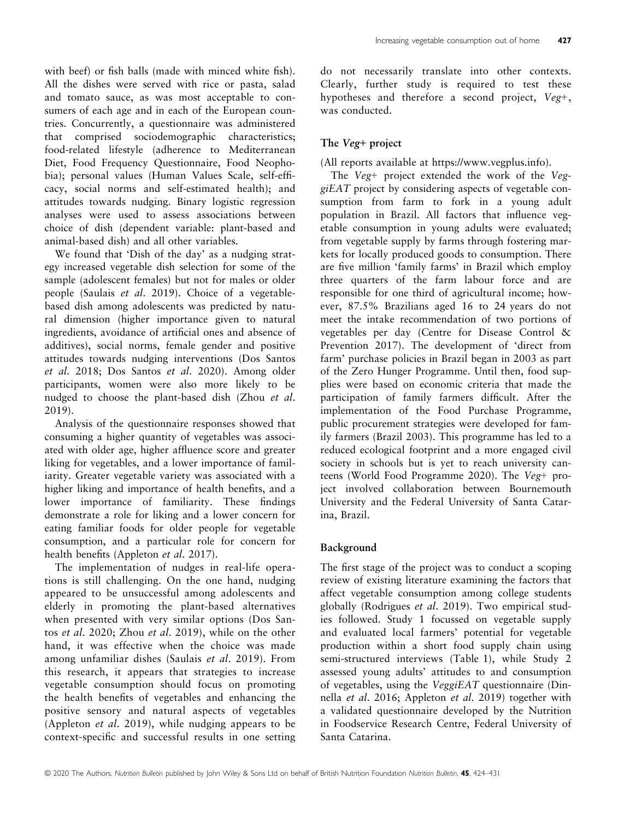with beef) or fish balls (made with minced white fish). All the dishes were served with rice or pasta, salad and tomato sauce, as was most acceptable to consumers of each age and in each of the European countries. Concurrently, a questionnaire was administered that comprised sociodemographic characteristics; food-related lifestyle (adherence to Mediterranean Diet, Food Frequency Questionnaire, Food Neophobia); personal values (Human Values Scale, self-efficacy, social norms and self-estimated health); and attitudes towards nudging. Binary logistic regression analyses were used to assess associations between choice of dish (dependent variable: plant-based and animal-based dish) and all other variables.

We found that 'Dish of the day' as a nudging strategy increased vegetable dish selection for some of the sample (adolescent females) but not for males or older people (Saulais et al. 2019). Choice of a vegetablebased dish among adolescents was predicted by natural dimension (higher importance given to natural ingredients, avoidance of artificial ones and absence of additives), social norms, female gender and positive attitudes towards nudging interventions (Dos Santos et al. 2018; Dos Santos et al. 2020). Among older participants, women were also more likely to be nudged to choose the plant-based dish (Zhou et al. 2019).

Analysis of the questionnaire responses showed that consuming a higher quantity of vegetables was associated with older age, higher affluence score and greater liking for vegetables, and a lower importance of familiarity. Greater vegetable variety was associated with a higher liking and importance of health benefits, and a lower importance of familiarity. These findings demonstrate a role for liking and a lower concern for eating familiar foods for older people for vegetable consumption, and a particular role for concern for health benefits (Appleton *et al.* 2017).

The implementation of nudges in real-life operations is still challenging. On the one hand, nudging appeared to be unsuccessful among adolescents and elderly in promoting the plant-based alternatives when presented with very similar options (Dos Santos et al. 2020; Zhou et al. 2019), while on the other hand, it was effective when the choice was made among unfamiliar dishes (Saulais et al. 2019). From this research, it appears that strategies to increase vegetable consumption should focus on promoting the health benefits of vegetables and enhancing the positive sensory and natural aspects of vegetables (Appleton et al. 2019), while nudging appears to be context-specific and successful results in one setting

do not necessarily translate into other contexts. Clearly, further study is required to test these hypotheses and therefore a second project, Veg+, was conducted.

# The Veg<sup>+</sup> project

(All reports available at [https://www.vegplus.info\)](https://www.vegplus.info).

The Veg+ project extended the work of the VeggiEAT project by considering aspects of vegetable consumption from farm to fork in a young adult population in Brazil. All factors that influence vegetable consumption in young adults were evaluated; from vegetable supply by farms through fostering markets for locally produced goods to consumption. There are five million 'family farms' in Brazil which employ three quarters of the farm labour force and are responsible for one third of agricultural income; however, 87.5% Brazilians aged 16 to 24 years do not meet the intake recommendation of two portions of vegetables per day (Centre for Disease Control & Prevention 2017). The development of 'direct from farm' purchase policies in Brazil began in 2003 as part of the Zero Hunger Programme. Until then, food supplies were based on economic criteria that made the participation of family farmers difficult. After the implementation of the Food Purchase Programme, public procurement strategies were developed for family farmers (Brazil 2003). This programme has led to a reduced ecological footprint and a more engaged civil society in schools but is yet to reach university canteens (World Food Programme 2020). The Veg+ project involved collaboration between Bournemouth University and the Federal University of Santa Catarina, Brazil.

### Background

The first stage of the project was to conduct a scoping review of existing literature examining the factors that affect vegetable consumption among college students globally (Rodrigues et al. 2019). Two empirical studies followed. Study 1 focussed on vegetable supply and evaluated local farmers' potential for vegetable production within a short food supply chain using semi-structured interviews (Table 1), while Study 2 assessed young adults' attitudes to and consumption of vegetables, using the VeggiEAT questionnaire (Dinnella et al. 2016; Appleton et al. 2019) together with a validated questionnaire developed by the Nutrition in Foodservice Research Centre, Federal University of Santa Catarina.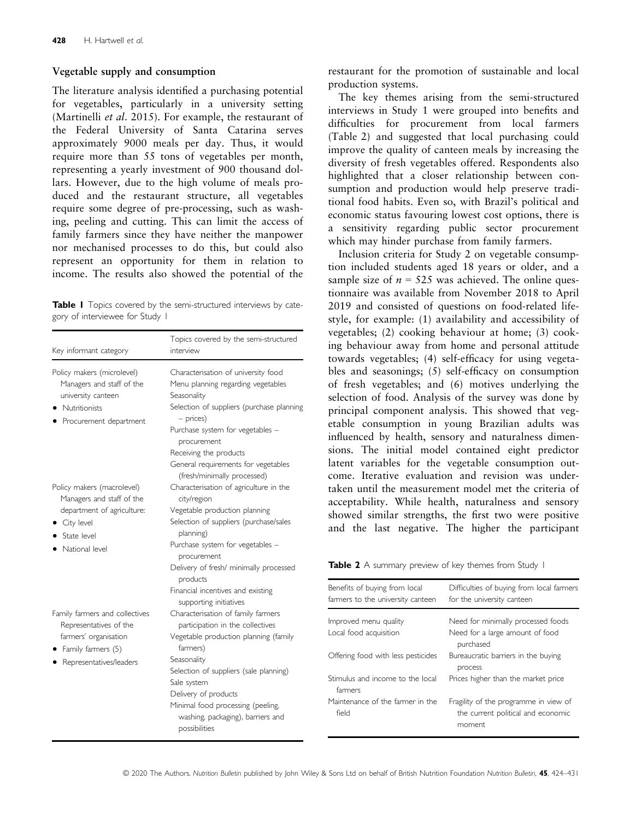#### Vegetable supply and consumption

The literature analysis identified a purchasing potential for vegetables, particularly in a university setting (Martinelli et al. 2015). For example, the restaurant of the Federal University of Santa Catarina serves approximately 9000 meals per day. Thus, it would require more than 55 tons of vegetables per month, representing a yearly investment of 900 thousand dollars. However, due to the high volume of meals produced and the restaurant structure, all vegetables require some degree of pre-processing, such as washing, peeling and cutting. This can limit the access of family farmers since they have neither the manpower nor mechanised processes to do this, but could also represent an opportunity for them in relation to income. The results also showed the potential of the

Table I Topics covered by the semi-structured interviews by category of interviewee for Study 1

| Key informant category                                                                                                                     | Topics covered by the semi-structured<br>interview                                                                                                                                                                                                                                                                     |
|--------------------------------------------------------------------------------------------------------------------------------------------|------------------------------------------------------------------------------------------------------------------------------------------------------------------------------------------------------------------------------------------------------------------------------------------------------------------------|
| Policy makers (microlevel)<br>Managers and staff of the<br>university canteen<br>Nutritionists<br>Procurement department                   | Characterisation of university food<br>Menu planning regarding vegetables<br>Seasonality<br>Selection of suppliers (purchase planning<br>$-$ prices)<br>Purchase system for vegetables -<br>procurement<br>Receiving the products<br>General requirements for vegetables<br>(fresh/minimally processed)                |
| Policy makers (macrolevel)<br>Managers and staff of the<br>department of agriculture:<br>• City level<br>• State level<br>• National level | Characterisation of agriculture in the<br>city/region<br>Vegetable production planning<br>Selection of suppliers (purchase/sales<br>planning)<br>Purchase system for vegetables -<br>procurement<br>Delivery of fresh/ minimally processed<br>products<br>Financial incentives and existing<br>supporting initiatives  |
| Family farmers and collectives<br>Representatives of the<br>farmers' organisation<br>• Family farmers (5)<br>Representatives/leaders       | Characterisation of family farmers<br>participation in the collectives<br>Vegetable production planning (family<br>farmers)<br>Seasonality<br>Selection of suppliers (sale planning)<br>Sale system<br>Delivery of products<br>Minimal food processing (peeling,<br>washing, packaging), barriers and<br>possibilities |

restaurant for the promotion of sustainable and local production systems.

The key themes arising from the semi-structured interviews in Study 1 were grouped into benefits and difficulties for procurement from local farmers (Table 2) and suggested that local purchasing could improve the quality of canteen meals by increasing the diversity of fresh vegetables offered. Respondents also highlighted that a closer relationship between consumption and production would help preserve traditional food habits. Even so, with Brazil's political and economic status favouring lowest cost options, there is a sensitivity regarding public sector procurement which may hinder purchase from family farmers.

Inclusion criteria for Study 2 on vegetable consumption included students aged 18 years or older, and a sample size of  $n = 525$  was achieved. The online questionnaire was available from November 2018 to April 2019 and consisted of questions on food-related lifestyle, for example: (1) availability and accessibility of vegetables; (2) cooking behaviour at home; (3) cooking behaviour away from home and personal attitude towards vegetables; (4) self-efficacy for using vegetables and seasonings; (5) self-efficacy on consumption of fresh vegetables; and (6) motives underlying the selection of food. Analysis of the survey was done by principal component analysis. This showed that vegetable consumption in young Brazilian adults was influenced by health, sensory and naturalness dimensions. The initial model contained eight predictor latent variables for the vegetable consumption outcome. Iterative evaluation and revision was undertaken until the measurement model met the criteria of acceptability. While health, naturalness and sensory showed similar strengths, the first two were positive and the last negative. The higher the participant

|  | Table 2 A summary preview of key themes from Study I |
|--|------------------------------------------------------|
|--|------------------------------------------------------|

| Benefits of buying from local<br>farmers to the university canteen | Difficulties of buying from local farmers<br>for the university canteen               |
|--------------------------------------------------------------------|---------------------------------------------------------------------------------------|
| Improved menu quality                                              | Need for minimally processed foods                                                    |
| Local food acquisition                                             | Need for a large amount of food<br>purchased                                          |
| Offering food with less pesticides                                 | Bureaucratic barriers in the buying<br>process                                        |
| Stimulus and income to the local<br>farmers                        | Prices higher than the market price                                                   |
| Maintenance of the farmer in the<br>field                          | Fragility of the programme in view of<br>the current political and economic<br>moment |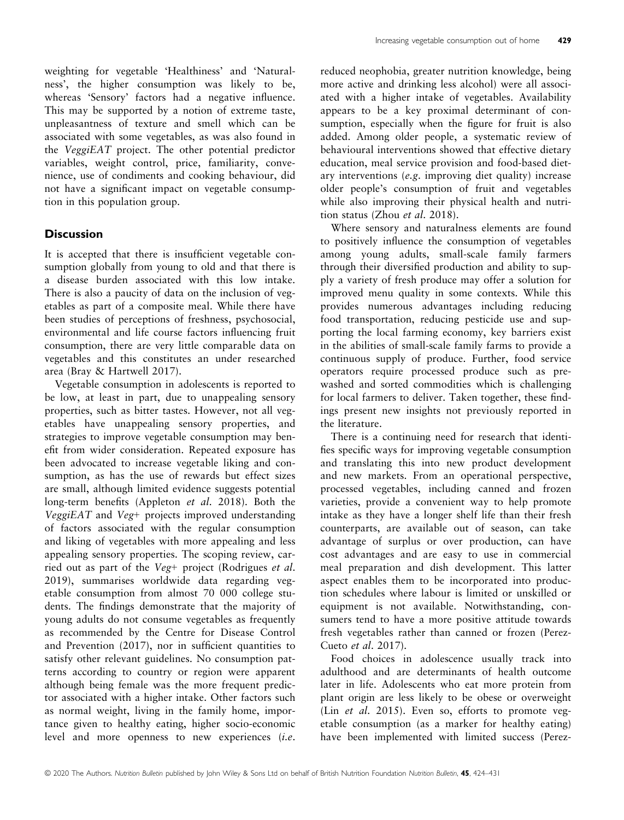weighting for vegetable 'Healthiness' and 'Naturalness', the higher consumption was likely to be, whereas 'Sensory' factors had a negative influence. This may be supported by a notion of extreme taste, unpleasantness of texture and smell which can be associated with some vegetables, as was also found in the VeggiEAT project. The other potential predictor variables, weight control, price, familiarity, convenience, use of condiments and cooking behaviour, did not have a significant impact on vegetable consumption in this population group.

# **Discussion**

It is accepted that there is insufficient vegetable consumption globally from young to old and that there is a disease burden associated with this low intake. There is also a paucity of data on the inclusion of vegetables as part of a composite meal. While there have been studies of perceptions of freshness, psychosocial, environmental and life course factors influencing fruit consumption, there are very little comparable data on vegetables and this constitutes an under researched area (Bray & Hartwell 2017).

Vegetable consumption in adolescents is reported to be low, at least in part, due to unappealing sensory properties, such as bitter tastes. However, not all vegetables have unappealing sensory properties, and strategies to improve vegetable consumption may benefit from wider consideration. Repeated exposure has been advocated to increase vegetable liking and consumption, as has the use of rewards but effect sizes are small, although limited evidence suggests potential long-term benefits (Appleton et al. 2018). Both the VeggiEAT and Veg+ projects improved understanding of factors associated with the regular consumption and liking of vegetables with more appealing and less appealing sensory properties. The scoping review, carried out as part of the Veg+ project (Rodrigues et al. 2019), summarises worldwide data regarding vegetable consumption from almost 70 000 college students. The findings demonstrate that the majority of young adults do not consume vegetables as frequently as recommended by the Centre for Disease Control and Prevention (2017), nor in sufficient quantities to satisfy other relevant guidelines. No consumption patterns according to country or region were apparent although being female was the more frequent predictor associated with a higher intake. Other factors such as normal weight, living in the family home, importance given to healthy eating, higher socio-economic level and more openness to new experiences (i.e.

reduced neophobia, greater nutrition knowledge, being more active and drinking less alcohol) were all associated with a higher intake of vegetables. Availability appears to be a key proximal determinant of consumption, especially when the figure for fruit is also added. Among older people, a systematic review of behavioural interventions showed that effective dietary education, meal service provision and food-based dietary interventions (e.g. improving diet quality) increase older people's consumption of fruit and vegetables while also improving their physical health and nutrition status (Zhou et al. 2018).

Where sensory and naturalness elements are found to positively influence the consumption of vegetables among young adults, small-scale family farmers through their diversified production and ability to supply a variety of fresh produce may offer a solution for improved menu quality in some contexts. While this provides numerous advantages including reducing food transportation, reducing pesticide use and supporting the local farming economy, key barriers exist in the abilities of small-scale family farms to provide a continuous supply of produce. Further, food service operators require processed produce such as prewashed and sorted commodities which is challenging for local farmers to deliver. Taken together, these findings present new insights not previously reported in the literature.

There is a continuing need for research that identifies specific ways for improving vegetable consumption and translating this into new product development and new markets. From an operational perspective, processed vegetables, including canned and frozen varieties, provide a convenient way to help promote intake as they have a longer shelf life than their fresh counterparts, are available out of season, can take advantage of surplus or over production, can have cost advantages and are easy to use in commercial meal preparation and dish development. This latter aspect enables them to be incorporated into production schedules where labour is limited or unskilled or equipment is not available. Notwithstanding, consumers tend to have a more positive attitude towards fresh vegetables rather than canned or frozen (Perez-Cueto et al. 2017).

Food choices in adolescence usually track into adulthood and are determinants of health outcome later in life. Adolescents who eat more protein from plant origin are less likely to be obese or overweight (Lin et al. 2015). Even so, efforts to promote vegetable consumption (as a marker for healthy eating) have been implemented with limited success (Perez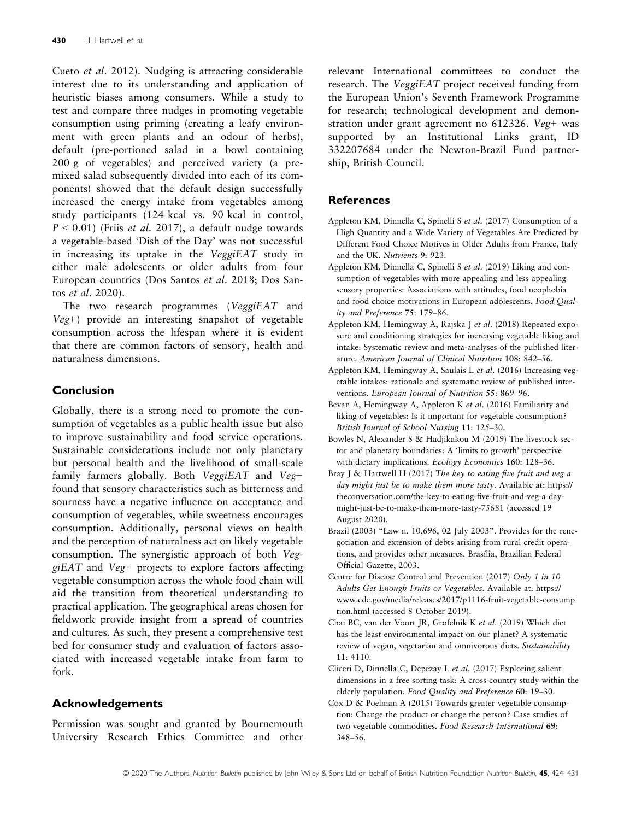Cueto et al. 2012). Nudging is attracting considerable interest due to its understanding and application of heuristic biases among consumers. While a study to test and compare three nudges in promoting vegetable consumption using priming (creating a leafy environment with green plants and an odour of herbs), default (pre-portioned salad in a bowl containing 200 g of vegetables) and perceived variety (a premixed salad subsequently divided into each of its components) showed that the default design successfully increased the energy intake from vegetables among study participants (124 kcal vs. 90 kcal in control,  $P < 0.01$ ) (Friis *et al.* 2017), a default nudge towards a vegetable-based 'Dish of the Day' was not successful in increasing its uptake in the VeggiEAT study in either male adolescents or older adults from four European countries (Dos Santos et al. 2018; Dos Santos et al. 2020).

The two research programmes (VeggiEAT and Veg+) provide an interesting snapshot of vegetable consumption across the lifespan where it is evident that there are common factors of sensory, health and naturalness dimensions.

# Conclusion

Globally, there is a strong need to promote the consumption of vegetables as a public health issue but also to improve sustainability and food service operations. Sustainable considerations include not only planetary but personal health and the livelihood of small-scale family farmers globally. Both VeggiEAT and Veg+ found that sensory characteristics such as bitterness and sourness have a negative influence on acceptance and consumption of vegetables, while sweetness encourages consumption. Additionally, personal views on health and the perception of naturalness act on likely vegetable consumption. The synergistic approach of both VeggiEAT and Veg+ projects to explore factors affecting vegetable consumption across the whole food chain will aid the transition from theoretical understanding to practical application. The geographical areas chosen for fieldwork provide insight from a spread of countries and cultures. As such, they present a comprehensive test bed for consumer study and evaluation of factors associated with increased vegetable intake from farm to fork.

### Acknowledgements

Permission was sought and granted by Bournemouth University Research Ethics Committee and other relevant International committees to conduct the research. The *VeggiEAT* project received funding from the European Union's Seventh Framework Programme for research; technological development and demonstration under grant agreement no 612326. Veg+ was supported by an Institutional Links grant, ID 332207684 under the Newton-Brazil Fund partnership, British Council.

## **References**

- Appleton KM, Dinnella C, Spinelli S et al. (2017) Consumption of a High Quantity and a Wide Variety of Vegetables Are Predicted by Different Food Choice Motives in Older Adults from France, Italy and the UK. Nutrients 9: 923.
- Appleton KM, Dinnella C, Spinelli S et al. (2019) Liking and consumption of vegetables with more appealing and less appealing sensory properties: Associations with attitudes, food neophobia and food choice motivations in European adolescents. Food Quality and Preference 75: 179–86.
- Appleton KM, Hemingway A, Rajska J et al. (2018) Repeated exposure and conditioning strategies for increasing vegetable liking and intake: Systematic review and meta-analyses of the published literature. American Journal of Clinical Nutrition 108: 842–56.
- Appleton KM, Hemingway A, Saulais L et al. (2016) Increasing vegetable intakes: rationale and systematic review of published interventions. European Journal of Nutrition 55: 869–96.
- Bevan A, Hemingway A, Appleton K et al. (2016) Familiarity and liking of vegetables: Is it important for vegetable consumption? British Journal of School Nursing 11: 125–30.
- Bowles N, Alexander S & Hadjikakou M (2019) The livestock sector and planetary boundaries: A 'limits to growth' perspective with dietary implications. Ecology Economics 160: 128–36.
- Bray J & Hartwell H (2017) The key to eating five fruit and veg a day might just be to make them more tasty. Available at: [https://](https://theconversation.com/the-key-to-eating-five-fruit-and-veg-a-day-might-just-be-to-make-them-more-tasty-75681) [theconversation.com/the-key-to-eating-five-fruit-and-veg-a-day](https://theconversation.com/the-key-to-eating-five-fruit-and-veg-a-day-might-just-be-to-make-them-more-tasty-75681)[might-just-be-to-make-them-more-tasty-75681](https://theconversation.com/the-key-to-eating-five-fruit-and-veg-a-day-might-just-be-to-make-them-more-tasty-75681) (accessed 19 August 2020).
- Brazil (2003) "Law n. 10,696, 02 July 2003". Provides for the renegotiation and extension of debts arising from rural credit operations, and provides other measures. Brasılia, Brazilian Federal Official Gazette, 2003.
- Centre for Disease Control and Prevention (2017) Only 1 in 10 Adults Get Enough Fruits or Vegetables. Available at: [https://](https://www.cdc.gov/media/releases/2017/p1116-fruit-vegetable-consumption.html) [www.cdc.gov/media/releases/2017/p1116-fruit-vegetable-consump](https://www.cdc.gov/media/releases/2017/p1116-fruit-vegetable-consumption.html) [tion.html](https://www.cdc.gov/media/releases/2017/p1116-fruit-vegetable-consumption.html) (accessed 8 October 2019).
- Chai BC, van der Voort JR, Grofelnik K et al. (2019) Which diet has the least environmental impact on our planet? A systematic review of vegan, vegetarian and omnivorous diets. Sustainability 11: 4110.
- Cliceri D, Dinnella C, Depezay L et al. (2017) Exploring salient dimensions in a free sorting task: A cross-country study within the elderly population. Food Quality and Preference 60: 19–30.
- Cox D & Poelman A (2015) Towards greater vegetable consumption: Change the product or change the person? Case studies of two vegetable commodities. Food Research International 69: 348–56.